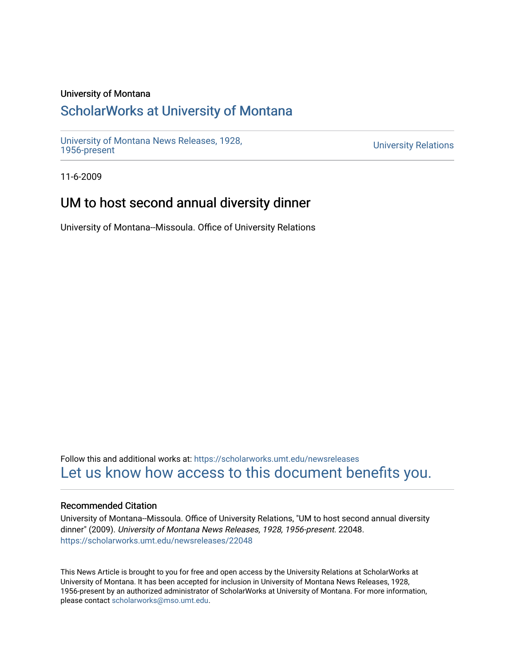## University of Montana

# [ScholarWorks at University of Montana](https://scholarworks.umt.edu/)

[University of Montana News Releases, 1928,](https://scholarworks.umt.edu/newsreleases) 

**University Relations** 

11-6-2009

# UM to host second annual diversity dinner

University of Montana--Missoula. Office of University Relations

Follow this and additional works at: [https://scholarworks.umt.edu/newsreleases](https://scholarworks.umt.edu/newsreleases?utm_source=scholarworks.umt.edu%2Fnewsreleases%2F22048&utm_medium=PDF&utm_campaign=PDFCoverPages) [Let us know how access to this document benefits you.](https://goo.gl/forms/s2rGfXOLzz71qgsB2) 

### Recommended Citation

University of Montana--Missoula. Office of University Relations, "UM to host second annual diversity dinner" (2009). University of Montana News Releases, 1928, 1956-present. 22048. [https://scholarworks.umt.edu/newsreleases/22048](https://scholarworks.umt.edu/newsreleases/22048?utm_source=scholarworks.umt.edu%2Fnewsreleases%2F22048&utm_medium=PDF&utm_campaign=PDFCoverPages) 

This News Article is brought to you for free and open access by the University Relations at ScholarWorks at University of Montana. It has been accepted for inclusion in University of Montana News Releases, 1928, 1956-present by an authorized administrator of ScholarWorks at University of Montana. For more information, please contact [scholarworks@mso.umt.edu.](mailto:scholarworks@mso.umt.edu)